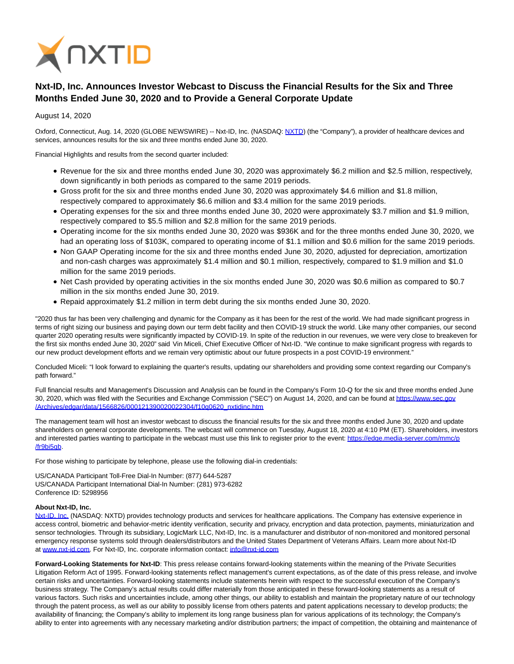

## **Nxt-ID, Inc. Announces Investor Webcast to Discuss the Financial Results for the Six and Three Months Ended June 30, 2020 and to Provide a General Corporate Update**

## August 14, 2020

Oxford, Connecticut, Aug. 14, 2020 (GLOBE NEWSWIRE) -- Nxt-ID, Inc. (NASDAQ: [NXTD\)](https://www.globenewswire.com/Tracker?data=domL-ddHI12sXaOI3ZGshIVrYlARw8t0jg8iU2HDQ9S1Pnx_XTY7eorUffrAVHUiPqDkGHVfQ2COzgmy-LV0cQ==) (the "Company"), a provider of healthcare devices and services, announces results for the six and three months ended June 30, 2020.

Financial Highlights and results from the second quarter included:

- Revenue for the six and three months ended June 30, 2020 was approximately \$6.2 million and \$2.5 million, respectively, down significantly in both periods as compared to the same 2019 periods.
- Gross profit for the six and three months ended June 30, 2020 was approximately \$4.6 million and \$1.8 million, respectively compared to approximately \$6.6 million and \$3.4 million for the same 2019 periods.
- Operating expenses for the six and three months ended June 30, 2020 were approximately \$3.7 million and \$1.9 million, respectively compared to \$5.5 million and \$2.8 million for the same 2019 periods.
- Operating income for the six months ended June 30, 2020 was \$936K and for the three months ended June 30, 2020, we had an operating loss of \$103K, compared to operating income of \$1.1 million and \$0.6 million for the same 2019 periods.
- Non GAAP Operating income for the six and three months ended June 30, 2020, adjusted for depreciation, amortization and non-cash charges was approximately \$1.4 million and \$0.1 million, respectively, compared to \$1.9 million and \$1.0 million for the same 2019 periods.
- Net Cash provided by operating activities in the six months ended June 30, 2020 was \$0.6 million as compared to \$0.7 million in the six months ended June 30, 2019.
- Repaid approximately \$1.2 million in term debt during the six months ended June 30, 2020.

"2020 thus far has been very challenging and dynamic for the Company as it has been for the rest of the world. We had made significant progress in terms of right sizing our business and paying down our term debt facility and then COVID-19 struck the world. Like many other companies, our second quarter 2020 operating results were significantly impacted by COVID-19. In spite of the reduction in our revenues, we were very close to breakeven for the first six months ended June 30, 2020" said Vin Miceli, Chief Executive Officer of Nxt-ID. "We continue to make significant progress with regards to our new product development efforts and we remain very optimistic about our future prospects in a post COVID-19 environment."

Concluded Miceli: "I look forward to explaining the quarter's results, updating our shareholders and providing some context regarding our Company's path forward."

Full financial results and Management's Discussion and Analysis can be found in the Company's Form 10-Q for the six and three months ended June 30, 2020, which was filed with the Securities and Exchange Commission ("SEC") on August 14, 2020, and can be found a[t https://www.sec.gov](https://www.globenewswire.com/Tracker?data=LiFWp8uekM3WitwW1XuYXETlosZ1SAhtGyzU2wiWDldTql-r8K52mSrvlh-OHeTEG2gTU-_kOUPpzcC1-clwtJcIOUmBJnVagptXDhWVuCA1X6ry4XiUaISHvYHT1PchaClYBs9RSfPSpLBAodbafX0IWqE6O9R77svCNCDX57N99XTtIcEvnqDuEJzi77BM9W8RcVp1YaQMtqAioopG6psjt1alqnuS9ZkEe18NLXksFN1CMucCMoQnDGv82BClUItAiUsQF3wPdFj9dCvzWw==) /Archives/edgar/data/1566826/000121390020022304/f10q0620\_nxtidinc.htm

The management team will host an investor webcast to discuss the financial results for the six and three months ended June 30, 2020 and update shareholders on general corporate developments. The webcast will commence on Tuesday, August 18, 2020 at 4:10 PM (ET). Shareholders, investors and interested parties wanting to participate in the webcast must use this link to register prior to the event[: https://edge.media-server.com/mmc/p](https://www.globenewswire.com/Tracker?data=LiFWp8uekM3WitwW1XuYXOjQb6aTCj7bNOQKJ9xTyh6vn_twqK6eliPG2mlj1wEzRIDHj1A8J6qmJZG6KIr6-zdzG7_pv8XxZvlDKAjSEs9nxoigiUJr-FW9VROrxDfegJ95q1S7BNkWNBQE1VR0Bg==) /fr9bi5gb.

For those wishing to participate by telephone, please use the following dial-in credentials:

US/CANADA Participant Toll-Free Dial-In Number: (877) 644-5287 US/CANADA Participant International Dial-In Number: (281) 973-6282 Conference ID: 5298956

## **About Nxt-ID, Inc.**

[Nxt-ID, Inc. \(](https://www.globenewswire.com/Tracker?data=3gs0hKOWKuLU69QfnaR-uzef7UPUnUVDdBDGzuT0aXo3gZ9tHSbPeKXN_wpfRI5dD_a84qsLB-dBHoB1q_I7Hw==)NASDAQ: NXTD) provides technology products and services for healthcare applications. The Company has extensive experience in access control, biometric and behavior-metric identity verification, security and privacy, encryption and data protection, payments, miniaturization and sensor technologies. Through its subsidiary, LogicMark LLC, Nxt-ID, Inc. is a manufacturer and distributor of non-monitored and monitored personal emergency response systems sold through dealers/distributors and the United States Department of Veterans Affairs. Learn more about Nxt-ID at [www.nxt-id.com.](https://www.globenewswire.com/Tracker?data=one-wbNXIARkUiZh7_7TzmWEKbFfJK_wIRhSTvvEXCvVgW9dTNnC4I8_9d6Ov3wSy-ZATNfztndnEPlfv3_KWQ==) For Nxt-ID, Inc. corporate information contact[: info@nxt-id.com](https://www.globenewswire.com/Tracker?data=Jm8k3AA6C9W4Oa7RP2sGNjtSDN3u_lOOrOeHlUdsP58xHYbN-a-v_PKTgADwzBhfWsp6WKtn9plLDbik3ET3Qw==)

**Forward-Looking Statements for Nxt-ID**: This press release contains forward-looking statements within the meaning of the Private Securities Litigation Reform Act of 1995. Forward-looking statements reflect management's current expectations, as of the date of this press release, and involve certain risks and uncertainties. Forward-looking statements include statements herein with respect to the successful execution of the Company's business strategy. The Company's actual results could differ materially from those anticipated in these forward-looking statements as a result of various factors. Such risks and uncertainties include, among other things, our ability to establish and maintain the proprietary nature of our technology through the patent process, as well as our ability to possibly license from others patents and patent applications necessary to develop products; the availability of financing; the Company's ability to implement its long range business plan for various applications of its technology; the Company's ability to enter into agreements with any necessary marketing and/or distribution partners; the impact of competition, the obtaining and maintenance of